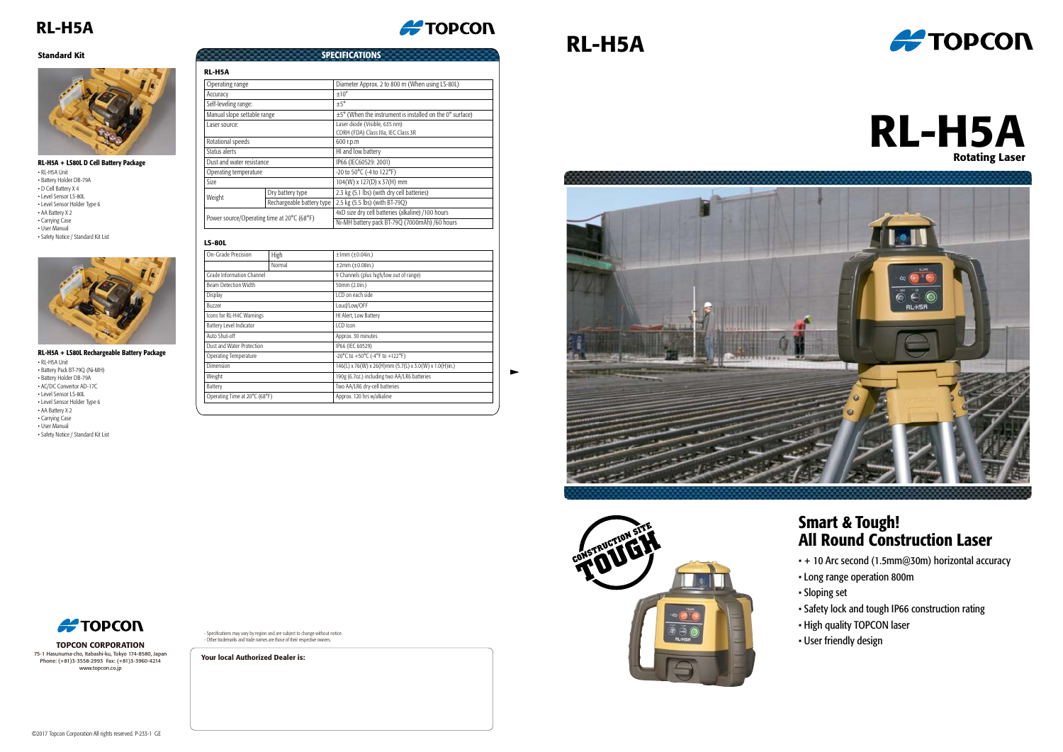- + 10 Arc second (1.5mm@30m) horizontal accuracy
- Long range operation 800m
- Sloping set
- Safety lock and tough IP66 construction rating
- High quality TOPCON laser
- User friendly design

#### Smart & Tough! All Round Construction Laser

# RL-H5A







## RL-H5A

# RL-H5A Rotating Laser

| RL-H5A                                     |                           |                                                               |
|--------------------------------------------|---------------------------|---------------------------------------------------------------|
| Operating range                            |                           | Diameter Approx. 2 to 800 m (When using LS-80L)               |
| Accuracy                                   |                           | $+10''$                                                       |
| Self-leveling range:                       |                           | $+5^\circ$                                                    |
| Manual slope settable range                |                           | $\pm$ 5° (When the instrument is installed on the 0° surface) |
| Laser source:                              |                           | Laser diode (Visible, 635 nm)                                 |
|                                            |                           | CDRH (FDA) Class IIIa, IEC Class 3R                           |
| Rotational speeds                          |                           | 600 r.p.m                                                     |
| Status alerts                              |                           | HI and low battery                                            |
| Dust and water resistance                  |                           | IP66 (IEC60529: 2001)                                         |
| Operating temperature                      |                           | -20 to 50°C (-4 to 122°F)                                     |
| Size                                       |                           | 104(W) x 127(D) x 37(H) mm                                    |
| Weight                                     | Dry battery type          | 2.3 kg (5.1 lbs) (with dry cell batteries)                    |
|                                            | Rechargeable battery type | 2.5 kg (5.5 lbs) (with BT-79Q)                                |
| Power source/Operating time at 20°C (68°F) |                           | 4xD size dry cell batteries (alkaline) /100 hours             |
|                                            |                           | Ni-MH battery pack BT-79Q (7000mAh) /60 hours                 |

**#TOPCON** 

**SPECIFICATIONS** 

| On-Grade Precision            | High   | $±1mm (\pm 0.04in.)$                                   |
|-------------------------------|--------|--------------------------------------------------------|
|                               | Normal | $±2mm (\pm 0.08in.)$                                   |
| Grade Information Channel     |        | 9 Channels (plus high/low out of range)                |
| <b>Beam Detection Width</b>   |        | 50mm (2.0in.)                                          |
| <b>Display</b>                |        | LCD on each side                                       |
| <b>Buzzer</b>                 |        | Loud/Low/OFF                                           |
| Icons for RL-H4C Warnings     |        | HI Alert, Low Battery                                  |
| Battery Level Indicator       |        | LCD Icon                                               |
| Auto Shut-off                 |        | Approx. 30 minutes                                     |
| Dust and Water Protection     |        | IP66 (IEC 60529)                                       |
| <b>Operating Temperature</b>  |        | -20°C to +50°C (-4°F to +122°F)                        |
| Dimension                     |        | 146(L) x 76(W) x 26(H)mm (5.7(L) x 3.0(W) x 1.0(H)in.) |
| Weight                        |        | 190g (6.7oz.) including two AA/LR6 batteries           |
| Battery                       |        | Two AA/LR6 dry-cell batteries                          |
| Operating Time at 20°C (68°F) |        | Approx. 120 hrs w/alkaline                             |

• RL-H5A Unit • Battery Holder DB-79A • D Cell Battery X 4 • Level Sensor LS-80L • Level Sensor Holder Type 6 • AA Battery X 2 • Carrying Case • User Manual • Safety Notice / Standard Kit List



• RL-H5A Unit • Battery Pack BT-79Q (Ni-MH) • Battery Holder DB-79A • AC/DC Convertor AD-17C • Level Sensor LS-80L • Level Sensor Holder Type 6 • AA Battery X 2 • Carrying Case • User Manual • Safety Notice / Standard Kit List

#### RL-H5A + LS80L D Cell Battery Package

#### RL-H5A + LS80L Rechargeable Battery Package

#### LS-80L

#### Standard Kit



- Specifications may vary by region and are subject to change without notice. - Other trademarks and trade names are those of their respective owners.

TOPCON CORPORATION 75-1 Hasunuma-cho, Itabashi-ku, Tokyo 174-8580, Japan Phone: (+81)3-3558-2993 Fax: (+81)3-3960-4214 www.topcon.co.jp

Your local Authorized Dealer is: